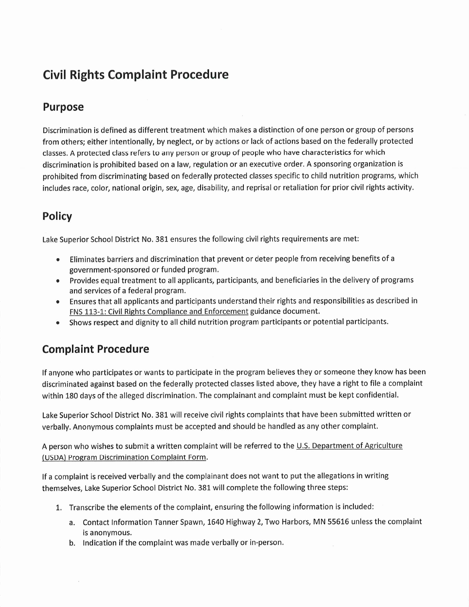## Civil Rights Complaint Procedure

## Purpose

Discrimination is defined as different treatment which makes a distinction of one person or group of persons from others; either intentionally, by neglect, or by actions or lack of actions based on the federally protected classes. A protected class refers to any person or group of people who have characteristics for which discrimination is prohibited based on a law, regulation or an executive order. A sponsoring organization is prohibited from discriminating based on federally protected classes specific to child nutrition programs, which includes race, color, national origin, sex, age, disability, and reprisal or retaliation for prior civil rights activity.

## Policy

Lake Superior School District No. 381 ensures the following civil rights requirements are met:

- e Eliminates barriers and discrimination that prevent or deter people from receiving benefits of a government-sponsored or funded program.
- e Provides equal treatment to all applicants, participants, and beneficiaries in the delivery of programs and services of a federal program.
- e Ensures that all applicants and participants understand their rights and responsibilities as described in FNS 113-1: Civil Rights Compliance and Enforcement guidance document.
- e Shows respect and dignity to all child nutrition program participants or potential participants.

## Complaint Procedure

If anyone who participates or wants to participate in the program believes they or someone they know has been discriminated against based on the federally protected classes listed above, they have a right to file a complaint within 180 days of the alleged discrimination. The complainant and complaint must be kept confidential.

Lake Superior School District No. 381 will receive civil rights complaints that have been submitted written or verbally. Anonymous complaints must be accepted and should be handled as any other complaint.

A person who wishes to submit a written complaint will be referred to the U.S. Department of Agriculture (USDA) Program Discrimination Complaint Form.

If a complaint is received verbally and the complainant does not want to put the allegations in writing themselves, Lake Superior School District No. 381 will complete the following three steps:

- 1. Transcribe the elements of the complaint, ensuring the following information is included:
	- a. Contact Information Tanner Spawn, 1640 Highway 2, Two Harbors, MN 55616 unless the complaint is anonymous.
	- b. Indication if the complaint was made verbally or in-person.